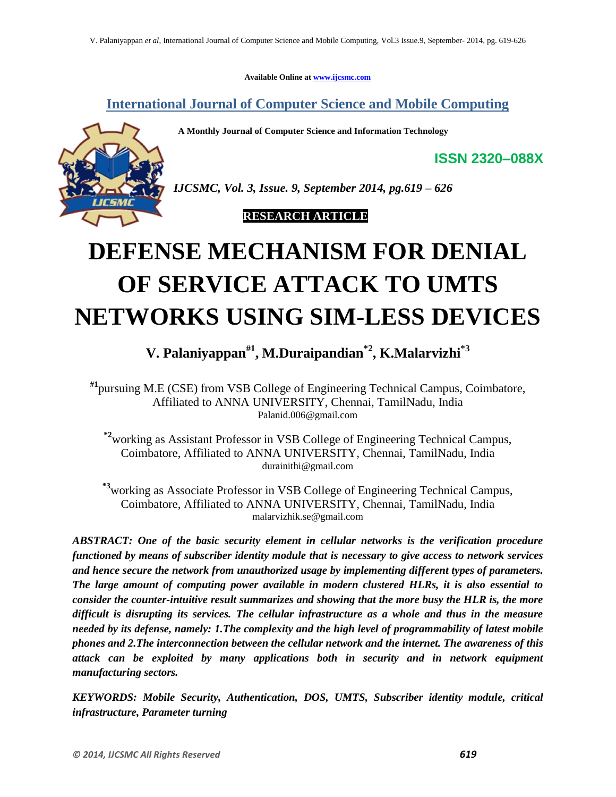**Available Online at www.ijcsmc.com**

**International Journal of Computer Science and Mobile Computing**

 **A Monthly Journal of Computer Science and Information Technology**



*IJCSMC, Vol. 3, Issue. 9, September 2014, pg.619 – 626*

 **RESEARCH ARTICLE**

# **DEFENSE MECHANISM FOR DENIAL OF SERVICE ATTACK TO UMTS NETWORKS USING SIM-LESS DEVICES**

**V. Palaniyappan#1 , M.Duraipandian\*2, K.Malarvizhi\*3**

**#1**pursuing M.E (CSE) from VSB College of Engineering Technical Campus, Coimbatore, Affiliated to ANNA UNIVERSITY, Chennai, TamilNadu, India Palanid.006@gmail.com

**\*2**working as Assistant Professor in VSB College of Engineering Technical Campus, Coimbatore, Affiliated to ANNA UNIVERSITY, Chennai, TamilNadu, India durainithi@gmail.com

**\*3**working as Associate Professor in VSB College of Engineering Technical Campus, Coimbatore, Affiliated to ANNA UNIVERSITY, Chennai, TamilNadu, India malarvizhik.se@gmail.com

*ABSTRACT: One of the basic security element in cellular networks is the verification procedure functioned by means of subscriber identity module that is necessary to give access to network services and hence secure the network from unauthorized usage by implementing different types of parameters. The large amount of computing power available in modern clustered HLRs, it is also essential to consider the counter-intuitive result summarizes and showing that the more busy the HLR is, the more difficult is disrupting its services. The cellular infrastructure as a whole and thus in the measure needed by its defense, namely: 1.The complexity and the high level of programmability of latest mobile phones and 2.The interconnection between the cellular network and the internet. The awareness of this attack can be exploited by many applications both in security and in network equipment manufacturing sectors.*

*KEYWORDS: Mobile Security, Authentication, DOS, UMTS, Subscriber identity module, critical infrastructure, Parameter turning*

**ISSN 2320–088X**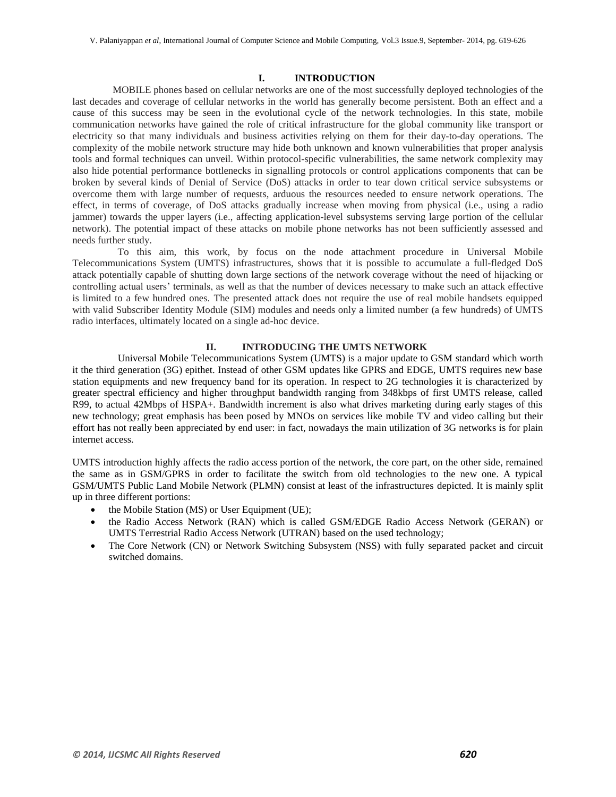#### **I. INTRODUCTION**

 MOBILE phones based on cellular networks are one of the most successfully deployed technologies of the last decades and coverage of cellular networks in the world has generally become persistent. Both an effect and a cause of this success may be seen in the evolutional cycle of the network technologies. In this state, mobile communication networks have gained the role of critical infrastructure for the global community like transport or electricity so that many individuals and business activities relying on them for their day-to-day operations. The complexity of the mobile network structure may hide both unknown and known vulnerabilities that proper analysis tools and formal techniques can unveil. Within protocol-specific vulnerabilities, the same network complexity may also hide potential performance bottlenecks in signalling protocols or control applications components that can be broken by several kinds of Denial of Service (DoS) attacks in order to tear down critical service subsystems or overcome them with large number of requests, arduous the resources needed to ensure network operations. The effect, in terms of coverage, of DoS attacks gradually increase when moving from physical (i.e., using a radio jammer) towards the upper layers (i.e., affecting application-level subsystems serving large portion of the cellular network). The potential impact of these attacks on mobile phone networks has not been sufficiently assessed and needs further study.

 To this aim, this work, by focus on the node attachment procedure in Universal Mobile Telecommunications System (UMTS) infrastructures, shows that it is possible to accumulate a full-fledged DoS attack potentially capable of shutting down large sections of the network coverage without the need of hijacking or controlling actual users' terminals, as well as that the number of devices necessary to make such an attack effective is limited to a few hundred ones. The presented attack does not require the use of real mobile handsets equipped with valid Subscriber Identity Module (SIM) modules and needs only a limited number (a few hundreds) of UMTS radio interfaces, ultimately located on a single ad-hoc device.

# **II. INTRODUCING THE UMTS NETWORK**

 Universal Mobile Telecommunications System (UMTS) is a major update to GSM standard which worth it the third generation (3G) epithet. Instead of other GSM updates like GPRS and EDGE, UMTS requires new base station equipments and new frequency band for its operation. In respect to 2G technologies it is characterized by greater spectral efficiency and higher throughput bandwidth ranging from 348kbps of first UMTS release, called R99, to actual 42Mbps of HSPA+. Bandwidth increment is also what drives marketing during early stages of this new technology; great emphasis has been posed by MNOs on services like mobile TV and video calling but their effort has not really been appreciated by end user: in fact, nowadays the main utilization of 3G networks is for plain internet access.

UMTS introduction highly affects the radio access portion of the network, the core part, on the other side, remained the same as in GSM/GPRS in order to facilitate the switch from old technologies to the new one. A typical GSM/UMTS Public Land Mobile Network (PLMN) consist at least of the infrastructures depicted. It is mainly split up in three different portions:

- the Mobile Station (MS) or User Equipment (UE);
- the Radio Access Network (RAN) which is called GSM/EDGE Radio Access Network (GERAN) or UMTS Terrestrial Radio Access Network (UTRAN) based on the used technology;
- The Core Network (CN) or Network Switching Subsystem (NSS) with fully separated packet and circuit switched domains.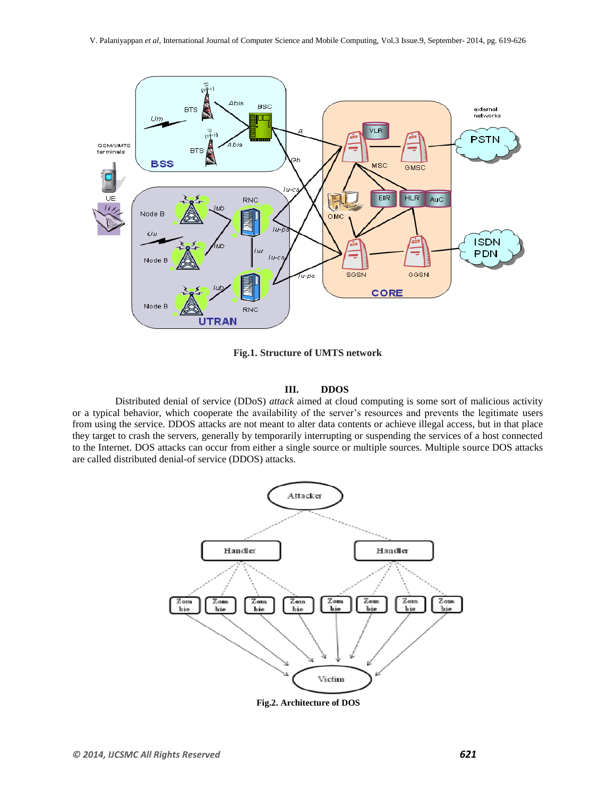

**Fig.1. Structure of UMTS network**

### **III. DDOS**

 Distributed denial of service (DDoS) *attack* aimed at cloud computing is some sort of malicious activity or a typical behavior, which cooperate the availability of the server's resources and prevents the legitimate users from using the service. DDOS attacks are not meant to alter data contents or achieve illegal access, but in that place they target to crash the servers, generally by temporarily interrupting or suspending the services of a host connected to the Internet. DOS attacks can occur from either a single source or multiple sources. Multiple source DOS attacks are called distributed denial-of service (DDOS) attacks.



 **Fig.2. Architecture of DOS**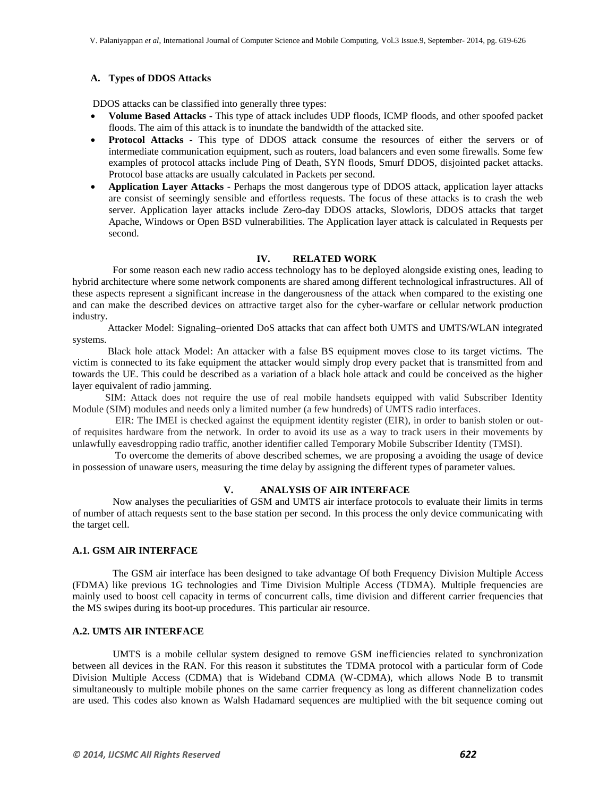# **A. Types of DDOS Attacks**

DDOS attacks can be classified into generally three types:

- **Volume Based Attacks**  This type of attack includes UDP floods, ICMP floods, and other spoofed packet floods. The aim of this attack is to inundate the bandwidth of the attacked site.
- **Protocol Attacks**  This type of DDOS attack consume the resources of either the servers or of intermediate communication equipment, such as routers, load balancers and even some firewalls. Some few examples of protocol attacks include Ping of Death, SYN floods, Smurf DDOS, disjointed packet attacks. Protocol base attacks are usually calculated in Packets per second.
- **Application Layer Attacks**  Perhaps the most dangerous type of DDOS attack, application layer attacks are consist of seemingly sensible and effortless requests. The focus of these attacks is to crash the web server. Application layer attacks include Zero-day DDOS attacks, Slowloris, DDOS attacks that target Apache, Windows or Open BSD vulnerabilities. The Application layer attack is calculated in Requests per second.

### **IV. RELATED WORK**

 For some reason each new radio access technology has to be deployed alongside existing ones, leading to hybrid architecture where some network components are shared among different technological infrastructures. All of these aspects represent a significant increase in the dangerousness of the attack when compared to the existing one and can make the described devices on attractive target also for the cyber-warfare or cellular network production industry.

 Attacker Model: Signaling–oriented DoS attacks that can affect both UMTS and UMTS/WLAN integrated systems.

 Black hole attack Model: An attacker with a false BS equipment moves close to its target victims. The victim is connected to its fake equipment the attacker would simply drop every packet that is transmitted from and towards the UE. This could be described as a variation of a black hole attack and could be conceived as the higher layer equivalent of radio jamming.

 SIM: Attack does not require the use of real mobile handsets equipped with valid Subscriber Identity Module (SIM) modules and needs only a limited number (a few hundreds) of UMTS radio interfaces.

 EIR: The IMEI is checked against the equipment identity register (EIR), in order to banish stolen or outof requisites hardware from the network. In order to avoid its use as a way to track users in their movements by unlawfully eavesdropping radio traffic, another identifier called Temporary Mobile Subscriber Identity (TMSI).

 To overcome the demerits of above described schemes, we are proposing a avoiding the usage of device in possession of unaware users, measuring the time delay by assigning the different types of parameter values.

### **V. ANALYSIS OF AIR INTERFACE**

 Now analyses the peculiarities of GSM and UMTS air interface protocols to evaluate their limits in terms of number of attach requests sent to the base station per second. In this process the only device communicating with the target cell.

# **A.1. GSM AIR INTERFACE**

 The GSM air interface has been designed to take advantage Of both Frequency Division Multiple Access (FDMA) like previous 1G technologies and Time Division Multiple Access (TDMA). Multiple frequencies are mainly used to boost cell capacity in terms of concurrent calls, time division and different carrier frequencies that the MS swipes during its boot-up procedures. This particular air resource.

# **A.2. UMTS AIR INTERFACE**

 UMTS is a mobile cellular system designed to remove GSM inefficiencies related to synchronization between all devices in the RAN. For this reason it substitutes the TDMA protocol with a particular form of Code Division Multiple Access (CDMA) that is Wideband CDMA (W-CDMA), which allows Node B to transmit simultaneously to multiple mobile phones on the same carrier frequency as long as different channelization codes are used. This codes also known as Walsh Hadamard sequences are multiplied with the bit sequence coming out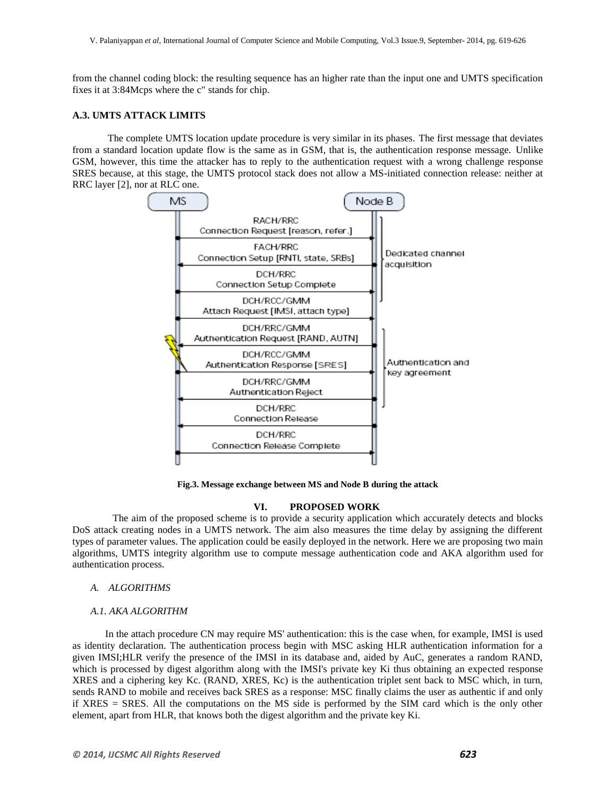from the channel coding block: the resulting sequence has an higher rate than the input one and UMTS specification fixes it at 3:84Mcps where the c" stands for chip.

# **A.3. UMTS ATTACK LIMITS**

 The complete UMTS location update procedure is very similar in its phases. The first message that deviates from a standard location update flow is the same as in GSM, that is, the authentication response message. Unlike GSM, however, this time the attacker has to reply to the authentication request with a wrong challenge response SRES because, at this stage, the UMTS protocol stack does not allow a MS-initiated connection release: neither at RRC layer [2], nor at RLC one.



**Fig.3. Message exchange between MS and Node B during the attack**

### **VI. PROPOSED WORK**

 The aim of the proposed scheme is to provide a security application which accurately detects and blocks DoS attack creating nodes in a UMTS network. The aim also measures the time delay by assigning the different types of parameter values. The application could be easily deployed in the network. Here we are proposing two main algorithms, UMTS integrity algorithm use to compute message authentication code and AKA algorithm used for authentication process.

# *A. ALGORITHMS*

#### *A.1. AKA ALGORITHM*

 In the attach procedure CN may require MS' authentication: this is the case when, for example, IMSI is used as identity declaration. The authentication process begin with MSC asking HLR authentication information for a given IMSI;HLR verify the presence of the IMSI in its database and, aided by AuC, generates a random RAND, which is processed by digest algorithm along with the IMSI's private key Ki thus obtaining an expected response XRES and a ciphering key Kc. (RAND, XRES, Kc) is the authentication triplet sent back to MSC which, in turn, sends RAND to mobile and receives back SRES as a response: MSC finally claims the user as authentic if and only if XRES = SRES. All the computations on the MS side is performed by the SIM card which is the only other element, apart from HLR, that knows both the digest algorithm and the private key Ki.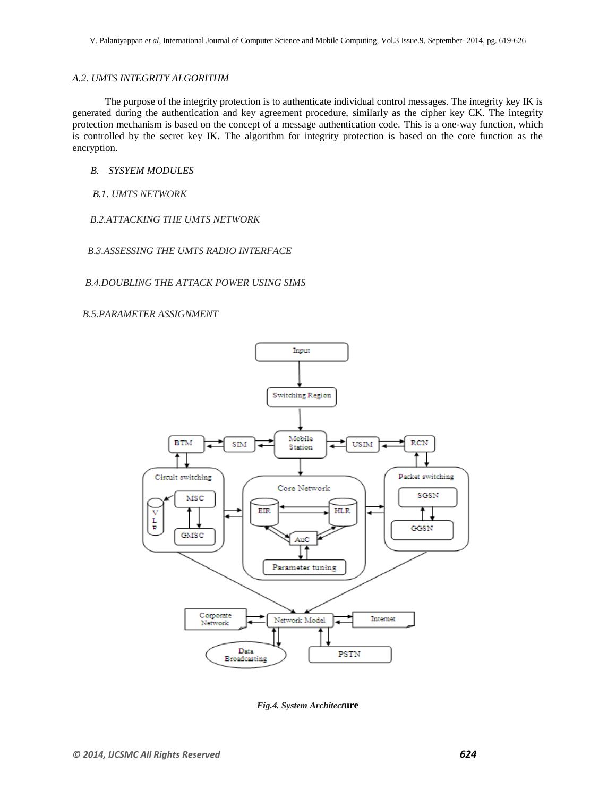# *A.2. UMTS INTEGRITY ALGORITHM*

 The purpose of the integrity protection is to authenticate individual control messages. The integrity key IK is generated during the authentication and key agreement procedure, similarly as the cipher key CK. The integrity protection mechanism is based on the concept of a message authentication code. This is a one-way function, which is controlled by the secret key IK. The algorithm for integrity protection is based on the core function as the encryption.

*B. SYSYEM MODULES*

*B.1*. *UMTS NETWORK*

 *B.2.ATTACKING THE UMTS NETWORK*

 *B.3.ASSESSING THE UMTS RADIO INTERFACE*

 *B.4.DOUBLING THE ATTACK POWER USING SIMS*

 *B.5.PARAMETER ASSIGNMENT*



*Fig.4. System Architect***ure**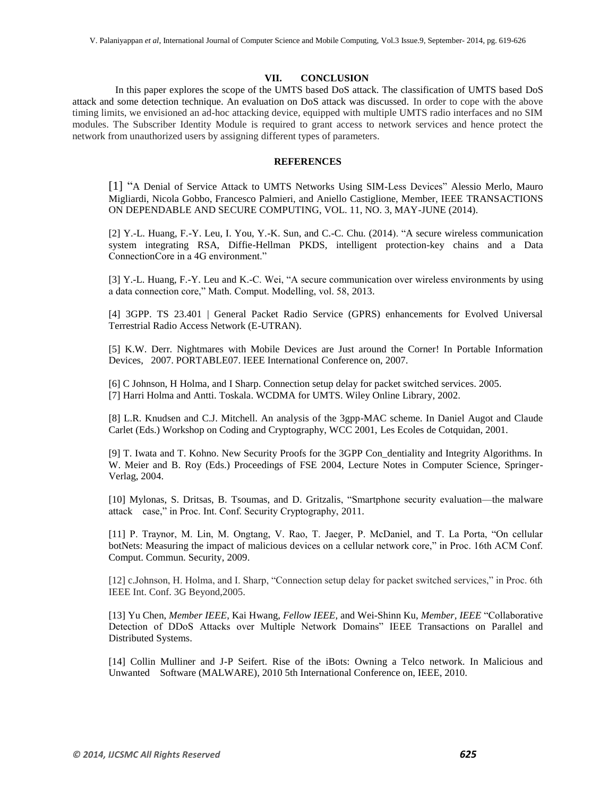### **VII. CONCLUSION**

 In this paper explores the scope of the UMTS based DoS attack. The classification of UMTS based DoS attack and some detection technique. An evaluation on DoS attack was discussed. In order to cope with the above timing limits, we envisioned an ad-hoc attacking device, equipped with multiple UMTS radio interfaces and no SIM modules. The Subscriber Identity Module is required to grant access to network services and hence protect the network from unauthorized users by assigning different types of parameters.

#### **REFERENCES**

[1] "A Denial of Service Attack to UMTS Networks Using SIM-Less Devices" Alessio Merlo, Mauro Migliardi, Nicola Gobbo, Francesco Palmieri, and Aniello Castiglione, Member, IEEE TRANSACTIONS ON DEPENDABLE AND SECURE COMPUTING, VOL. 11, NO. 3, MAY-JUNE (2014).

[2] Y.-L. Huang, F.-Y. Leu, I. You, Y.-K. Sun, and C.-C. Chu. (2014). "A secure wireless communication system integrating RSA, Diffie-Hellman PKDS, intelligent protection-key chains and a Data ConnectionCore in a 4G environment."

[3] Y.-L. Huang, F.-Y. Leu and K.-C. Wei, "A secure communication over wireless environments by using a data connection core," Math. Comput. Modelling, vol. 58, 2013.

[4] 3GPP. TS 23.401 | General Packet Radio Service (GPRS) enhancements for Evolved Universal Terrestrial Radio Access Network (E-UTRAN).

[5] K.W. Derr. Nightmares with Mobile Devices are Just around the Corner! In Portable Information Devices, 2007. PORTABLE07. IEEE International Conference on, 2007.

[6] C Johnson, H Holma, and I Sharp. Connection setup delay for packet switched services. 2005. [7] Harri Holma and Antti. Toskala. WCDMA for UMTS. Wiley Online Library, 2002.

[8] L.R. Knudsen and C.J. Mitchell. An analysis of the 3gpp-MAC scheme. In Daniel Augot and Claude Carlet (Eds.) Workshop on Coding and Cryptography, WCC 2001, Les Ecoles de Cotquidan, 2001.

[9] T. Iwata and T. Kohno. New Security Proofs for the 3GPP Con\_dentiality and Integrity Algorithms. In W. Meier and B. Roy (Eds.) Proceedings of FSE 2004, Lecture Notes in Computer Science, Springer-Verlag, 2004.

[10] Mylonas, S. Dritsas, B. Tsoumas, and D. Gritzalis, "Smartphone security evaluation—the malware attack case," in Proc. Int. Conf. Security Cryptography, 2011.

[11] P. Traynor, M. Lin, M. Ongtang, V. Rao, T. Jaeger, P. McDaniel, and T. La Porta, "On cellular botNets: Measuring the impact of malicious devices on a cellular network core," in Proc. 16th ACM Conf. Comput. Commun. Security, 2009.

[12] c.Johnson, H. Holma, and I. Sharp, "Connection setup delay for packet switched services," in Proc. 6th IEEE Int. Conf. 3G Beyond,2005.

[13] Yu Chen, *Member IEEE*, Kai Hwang, *Fellow IEEE*, and Wei-Shinn Ku, *Member, IEEE* "Collaborative Detection of DDoS Attacks over Multiple Network Domains" IEEE Transactions on Parallel and Distributed Systems.

[14] Collin Mulliner and J-P Seifert. Rise of the iBots: Owning a Telco network. In Malicious and Unwanted Software (MALWARE), 2010 5th International Conference on, IEEE, 2010.